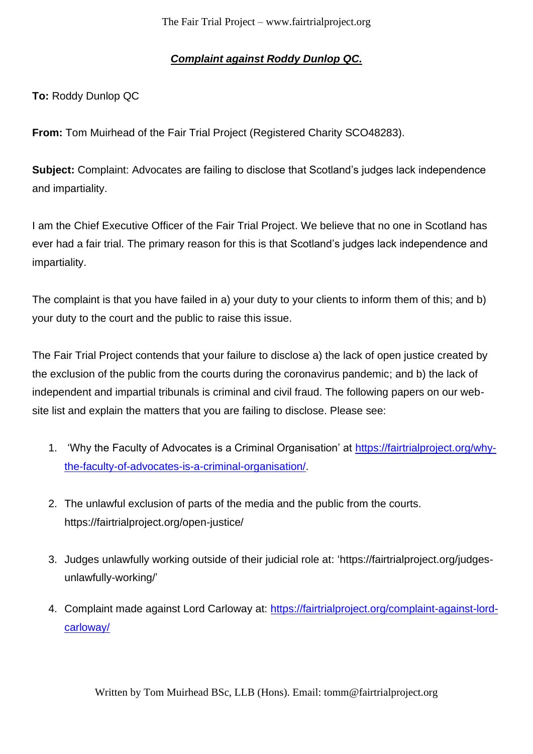## *Complaint against Roddy Dunlop QC.*

**To:** Roddy Dunlop QC

**From:** Tom Muirhead of the Fair Trial Project (Registered Charity SCO48283).

**Subject:** Complaint: Advocates are failing to disclose that Scotland's judges lack independence and impartiality.

I am the Chief Executive Officer of the Fair Trial Project. We believe that no one in Scotland has ever had a fair trial. The primary reason for this is that Scotland's judges lack independence and impartiality.

The complaint is that you have failed in a) your duty to your clients to inform them of this; and b) your duty to the court and the public to raise this issue.

The Fair Trial Project contends that your failure to disclose a) the lack of open justice created by the exclusion of the public from the courts during the coronavirus pandemic; and b) the lack of independent and impartial tribunals is criminal and civil fraud. The following papers on our website list and explain the matters that you are failing to disclose. Please see:

- 1. 'Why the Faculty of Advocates is a Criminal Organisation' at [https://fairtrialproject.org/why](https://fairtrialproject.org/why-the-faculty-of-advocates-is-a-criminal-organisation/)[the-faculty-of-advocates-is-a-criminal-organisation/.](https://fairtrialproject.org/why-the-faculty-of-advocates-is-a-criminal-organisation/)
- 2. The unlawful exclusion of parts of the media and the public from the courts. https://fairtrialproject.org/open-justice/
- 3. Judges unlawfully working outside of their judicial role at: 'https://fairtrialproject.org/judgesunlawfully-working/'
- 4. Complaint made against Lord Carloway at: [https://fairtrialproject.org/complaint-against-lord](https://fairtrialproject.org/complaint-against-lord-carloway/)[carloway/](https://fairtrialproject.org/complaint-against-lord-carloway/)